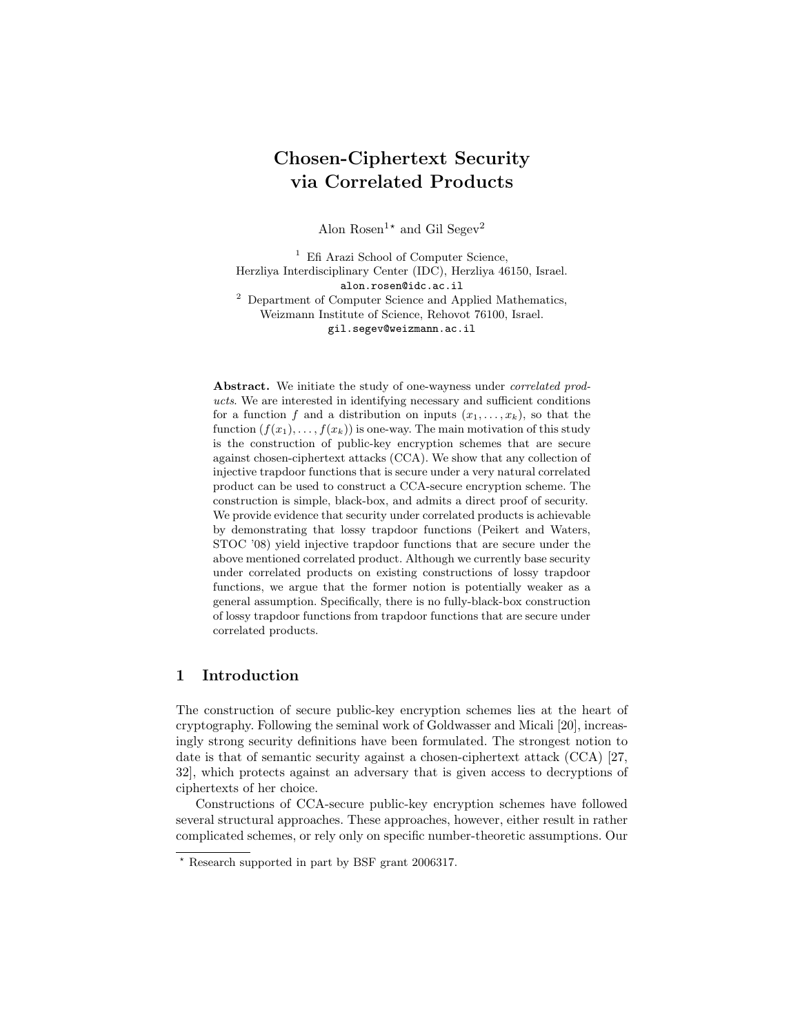# Chosen-Ciphertext Security via Correlated Products

Alon Rosen<sup>1\*</sup> and Gil Segev<sup>2</sup>

<sup>1</sup> Efi Arazi School of Computer Science, Herzliya Interdisciplinary Center (IDC), Herzliya 46150, Israel. alon.rosen@idc.ac.il <sup>2</sup> Department of Computer Science and Applied Mathematics, Weizmann Institute of Science, Rehovot 76100, Israel. gil.segev@weizmann.ac.il

Abstract. We initiate the study of one-wayness under *correlated prod*ucts. We are interested in identifying necessary and sufficient conditions for a function f and a distribution on inputs  $(x_1, \ldots, x_k)$ , so that the function  $(f(x_1), \ldots, f(x_k))$  is one-way. The main motivation of this study is the construction of public-key encryption schemes that are secure against chosen-ciphertext attacks (CCA). We show that any collection of injective trapdoor functions that is secure under a very natural correlated product can be used to construct a CCA-secure encryption scheme. The construction is simple, black-box, and admits a direct proof of security. We provide evidence that security under correlated products is achievable by demonstrating that lossy trapdoor functions (Peikert and Waters, STOC '08) yield injective trapdoor functions that are secure under the above mentioned correlated product. Although we currently base security under correlated products on existing constructions of lossy trapdoor functions, we argue that the former notion is potentially weaker as a general assumption. Specifically, there is no fully-black-box construction of lossy trapdoor functions from trapdoor functions that are secure under correlated products.

# 1 Introduction

The construction of secure public-key encryption schemes lies at the heart of cryptography. Following the seminal work of Goldwasser and Micali [20], increasingly strong security definitions have been formulated. The strongest notion to date is that of semantic security against a chosen-ciphertext attack (CCA) [27, 32], which protects against an adversary that is given access to decryptions of ciphertexts of her choice.

Constructions of CCA-secure public-key encryption schemes have followed several structural approaches. These approaches, however, either result in rather complicated schemes, or rely only on specific number-theoretic assumptions. Our

<sup>?</sup> Research supported in part by BSF grant 2006317.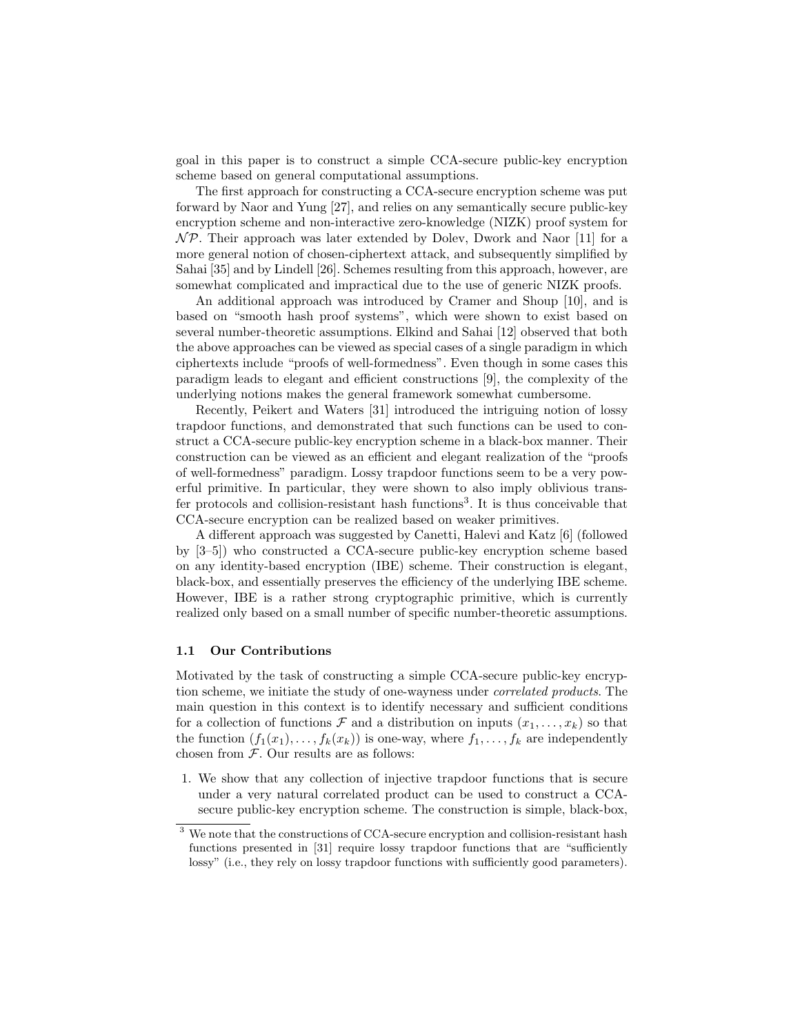goal in this paper is to construct a simple CCA-secure public-key encryption scheme based on general computational assumptions.

The first approach for constructing a CCA-secure encryption scheme was put forward by Naor and Yung [27], and relies on any semantically secure public-key encryption scheme and non-interactive zero-knowledge (NIZK) proof system for  $\mathcal{NP}$ . Their approach was later extended by Dolev, Dwork and Naor [11] for a more general notion of chosen-ciphertext attack, and subsequently simplified by Sahai [35] and by Lindell [26]. Schemes resulting from this approach, however, are somewhat complicated and impractical due to the use of generic NIZK proofs.

An additional approach was introduced by Cramer and Shoup [10], and is based on "smooth hash proof systems", which were shown to exist based on several number-theoretic assumptions. Elkind and Sahai [12] observed that both the above approaches can be viewed as special cases of a single paradigm in which ciphertexts include "proofs of well-formedness". Even though in some cases this paradigm leads to elegant and efficient constructions [9], the complexity of the underlying notions makes the general framework somewhat cumbersome.

Recently, Peikert and Waters [31] introduced the intriguing notion of lossy trapdoor functions, and demonstrated that such functions can be used to construct a CCA-secure public-key encryption scheme in a black-box manner. Their construction can be viewed as an efficient and elegant realization of the "proofs of well-formedness" paradigm. Lossy trapdoor functions seem to be a very powerful primitive. In particular, they were shown to also imply oblivious transfer protocols and collision-resistant hash functions<sup>3</sup>. It is thus conceivable that CCA-secure encryption can be realized based on weaker primitives.

A different approach was suggested by Canetti, Halevi and Katz [6] (followed by [3–5]) who constructed a CCA-secure public-key encryption scheme based on any identity-based encryption (IBE) scheme. Their construction is elegant, black-box, and essentially preserves the efficiency of the underlying IBE scheme. However, IBE is a rather strong cryptographic primitive, which is currently realized only based on a small number of specific number-theoretic assumptions.

### 1.1 Our Contributions

Motivated by the task of constructing a simple CCA-secure public-key encryption scheme, we initiate the study of one-wayness under correlated products. The main question in this context is to identify necessary and sufficient conditions for a collection of functions  $\mathcal F$  and a distribution on inputs  $(x_1, \ldots, x_k)$  so that the function  $(f_1(x_1), \ldots, f_k(x_k))$  is one-way, where  $f_1, \ldots, f_k$  are independently chosen from  $F$ . Our results are as follows:

1. We show that any collection of injective trapdoor functions that is secure under a very natural correlated product can be used to construct a CCAsecure public-key encryption scheme. The construction is simple, black-box,

<sup>3</sup> We note that the constructions of CCA-secure encryption and collision-resistant hash functions presented in [31] require lossy trapdoor functions that are "sufficiently lossy" (i.e., they rely on lossy trapdoor functions with sufficiently good parameters).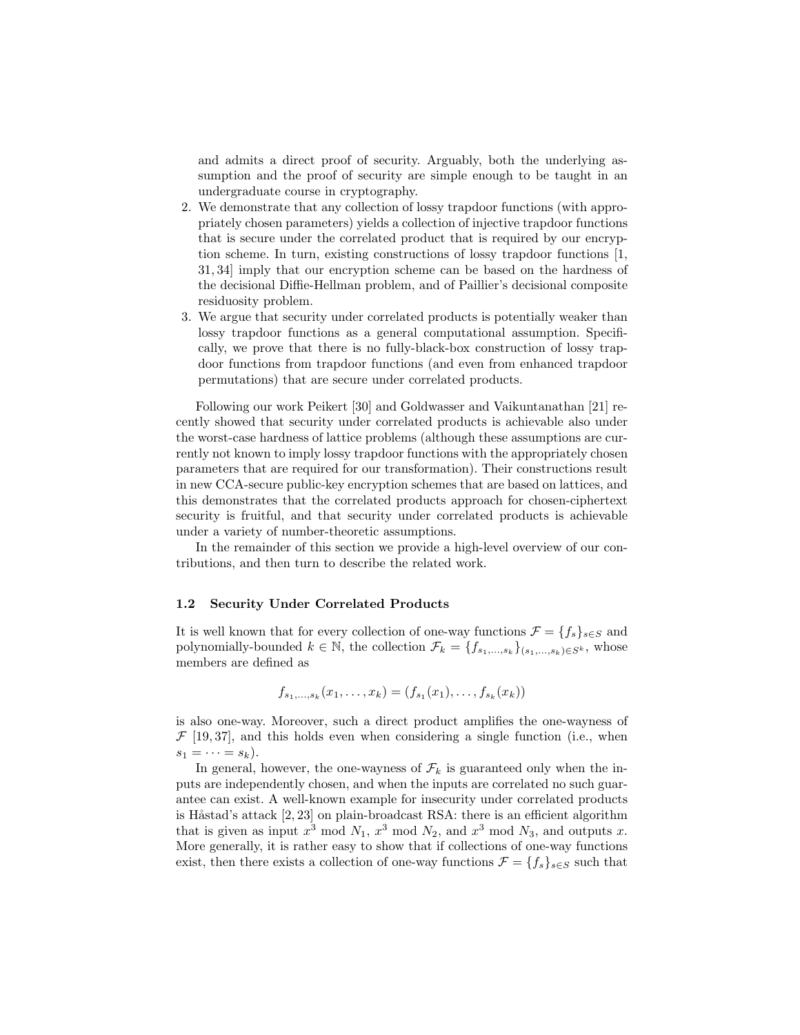and admits a direct proof of security. Arguably, both the underlying assumption and the proof of security are simple enough to be taught in an undergraduate course in cryptography.

- 2. We demonstrate that any collection of lossy trapdoor functions (with appropriately chosen parameters) yields a collection of injective trapdoor functions that is secure under the correlated product that is required by our encryption scheme. In turn, existing constructions of lossy trapdoor functions [1, 31, 34] imply that our encryption scheme can be based on the hardness of the decisional Diffie-Hellman problem, and of Paillier's decisional composite residuosity problem.
- 3. We argue that security under correlated products is potentially weaker than lossy trapdoor functions as a general computational assumption. Specifically, we prove that there is no fully-black-box construction of lossy trapdoor functions from trapdoor functions (and even from enhanced trapdoor permutations) that are secure under correlated products.

Following our work Peikert [30] and Goldwasser and Vaikuntanathan [21] recently showed that security under correlated products is achievable also under the worst-case hardness of lattice problems (although these assumptions are currently not known to imply lossy trapdoor functions with the appropriately chosen parameters that are required for our transformation). Their constructions result in new CCA-secure public-key encryption schemes that are based on lattices, and this demonstrates that the correlated products approach for chosen-ciphertext security is fruitful, and that security under correlated products is achievable under a variety of number-theoretic assumptions.

In the remainder of this section we provide a high-level overview of our contributions, and then turn to describe the related work.

### 1.2 Security Under Correlated Products

It is well known that for every collection of one-way functions  $\mathcal{F} = \{f_s\}_{s \in S}$  and polynomially-bounded  $k \in \mathbb{N}$ , the collection  $\mathcal{F}_k = \{f_{s_1,...,s_k}\}_{(s_1,...,s_k) \in S^k}$ , whose members are defined as

$$
f_{s_1,\ldots,s_k}(x_1,\ldots,x_k)=(f_{s_1}(x_1),\ldots,f_{s_k}(x_k))
$$

is also one-way. Moreover, such a direct product amplifies the one-wayness of  $\mathcal{F}$  [19,37], and this holds even when considering a single function (i.e., when  $s_1=\cdots=s_k$ ).

In general, however, the one-wayness of  $\mathcal{F}_k$  is guaranteed only when the inputs are independently chosen, and when the inputs are correlated no such guarantee can exist. A well-known example for insecurity under correlated products is Håstad's attack  $[2, 23]$  on plain-broadcast RSA: there is an efficient algorithm that is given as input  $x^3 \mod N_1$ ,  $x^3 \mod N_2$ , and  $x^3 \mod N_3$ , and outputs x. More generally, it is rather easy to show that if collections of one-way functions exist, then there exists a collection of one-way functions  $\mathcal{F} = \{f_s\}_{s \in S}$  such that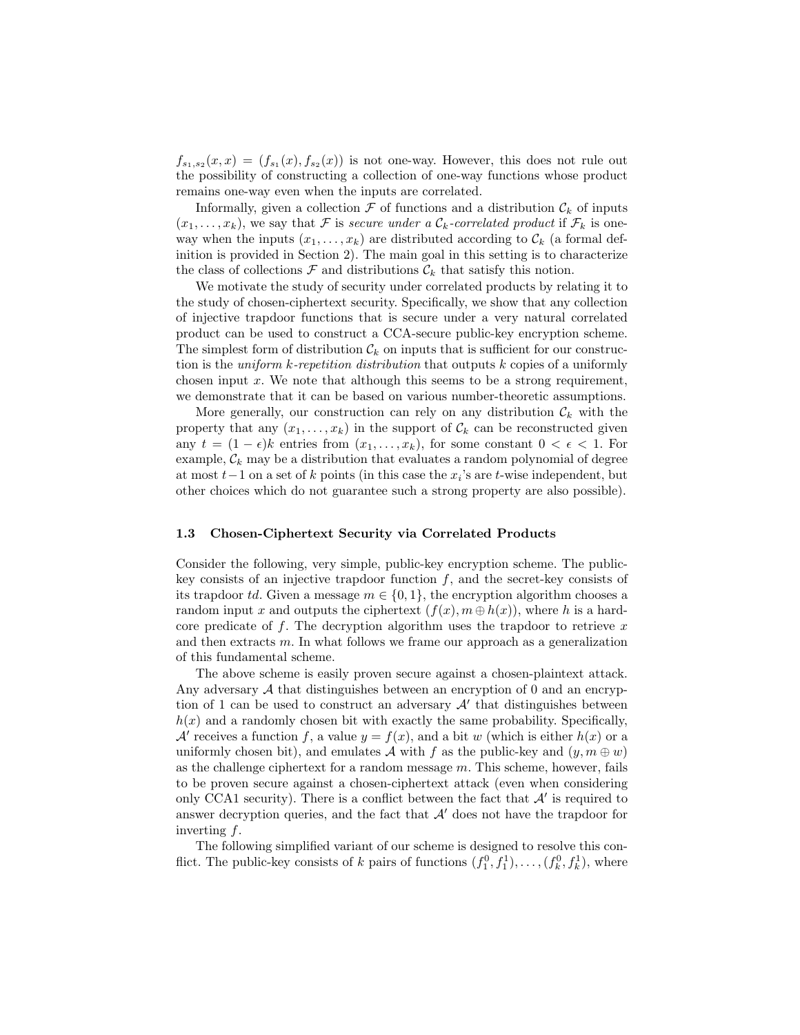$f_{s_1,s_2}(x,x) = (f_{s_1}(x), f_{s_2}(x))$  is not one-way. However, this does not rule out the possibility of constructing a collection of one-way functions whose product remains one-way even when the inputs are correlated.

Informally, given a collection  $\mathcal F$  of functions and a distribution  $\mathcal C_k$  of inputs  $(x_1, \ldots, x_k)$ , we say that F is secure under a  $\mathcal{C}_k$ -correlated product if  $\mathcal{F}_k$  is oneway when the inputs  $(x_1, \ldots, x_k)$  are distributed according to  $\mathcal{C}_k$  (a formal definition is provided in Section 2). The main goal in this setting is to characterize the class of collections  $\mathcal F$  and distributions  $\mathcal C_k$  that satisfy this notion.

We motivate the study of security under correlated products by relating it to the study of chosen-ciphertext security. Specifically, we show that any collection of injective trapdoor functions that is secure under a very natural correlated product can be used to construct a CCA-secure public-key encryption scheme. The simplest form of distribution  $\mathcal{C}_k$  on inputs that is sufficient for our construction is the *uniform k-repetition distribution* that outputs  $k$  copies of a uniformly chosen input  $x$ . We note that although this seems to be a strong requirement, we demonstrate that it can be based on various number-theoretic assumptions.

More generally, our construction can rely on any distribution  $\mathcal{C}_k$  with the property that any  $(x_1, \ldots, x_k)$  in the support of  $\mathcal{C}_k$  can be reconstructed given any  $t = (1 - \epsilon)k$  entries from  $(x_1, \ldots, x_k)$ , for some constant  $0 < \epsilon < 1$ . For example,  $\mathcal{C}_k$  may be a distribution that evaluates a random polynomial of degree at most  $t-1$  on a set of k points (in this case the  $x_i$ 's are t-wise independent, but other choices which do not guarantee such a strong property are also possible).

#### 1.3 Chosen-Ciphertext Security via Correlated Products

Consider the following, very simple, public-key encryption scheme. The publickey consists of an injective trapdoor function  $f$ , and the secret-key consists of its trapdoor td. Given a message  $m \in \{0, 1\}$ , the encryption algorithm chooses a random input x and outputs the ciphertext  $(f(x), m \oplus h(x))$ , where h is a hardcore predicate of  $f$ . The decryption algorithm uses the trapdoor to retrieve  $x$ and then extracts  $m$ . In what follows we frame our approach as a generalization of this fundamental scheme.

The above scheme is easily proven secure against a chosen-plaintext attack. Any adversary  $A$  that distinguishes between an encryption of 0 and an encryption of 1 can be used to construct an adversary  $A'$  that distinguishes between  $h(x)$  and a randomly chosen bit with exactly the same probability. Specifically, A' receives a function f, a value  $y = f(x)$ , and a bit w (which is either  $h(x)$  or a uniformly chosen bit), and emulates A with f as the public-key and  $(y, m \oplus w)$ as the challenge ciphertext for a random message  $m$ . This scheme, however, fails to be proven secure against a chosen-ciphertext attack (even when considering only CCA1 security). There is a conflict between the fact that  $A'$  is required to answer decryption queries, and the fact that  $A'$  does not have the trapdoor for inverting f.

The following simplified variant of our scheme is designed to resolve this conflict. The public-key consists of k pairs of functions  $(f_1^0, f_1^1), \ldots, (f_k^0, f_k^1)$ , where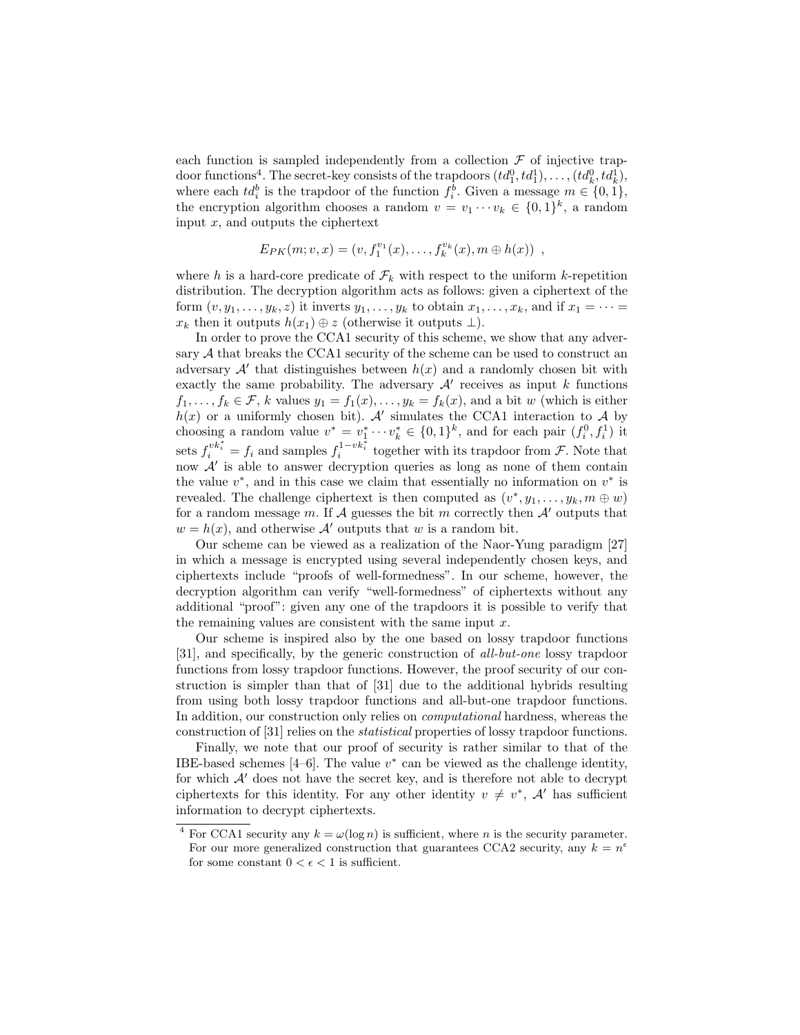each function is sampled independently from a collection  $\mathcal F$  of injective trapdoor functions<sup>4</sup>. The secret-key consists of the trapdoors  $(td_1^0, td_1^1), \ldots, (td_k^0, td_k^1)$ , where each  $td_i^b$  is the trapdoor of the function  $f_i^b$ . Given a message  $m \in \{0, 1\}$ , the encryption algorithm chooses a random  $v = v_1 \cdots v_k \in \{0,1\}^k$ , a random input  $x$ , and outputs the ciphertext

$$
E_{PK}(m; v, x) = (v, f_1^{v_1}(x), \ldots, f_k^{v_k}(x), m \oplus h(x)) ,
$$

where h is a hard-core predicate of  $\mathcal{F}_k$  with respect to the uniform k-repetition distribution. The decryption algorithm acts as follows: given a ciphertext of the form  $(v, y_1, \ldots, y_k, z)$  it inverts  $y_1, \ldots, y_k$  to obtain  $x_1, \ldots, x_k$ , and if  $x_1 = \cdots =$  $x_k$  then it outputs  $h(x_1) \oplus z$  (otherwise it outputs  $\perp$ ).

In order to prove the CCA1 security of this scheme, we show that any adversary A that breaks the CCA1 security of the scheme can be used to construct an adversary  $\mathcal{A}'$  that distinguishes between  $h(x)$  and a randomly chosen bit with exactly the same probability. The adversary  $\mathcal{A}'$  receives as input k functions  $f_1, \ldots, f_k \in \mathcal{F}$ , k values  $y_1 = f_1(x), \ldots, y_k = f_k(x)$ , and a bit w (which is either  $h(x)$  or a uniformly chosen bit). A simulates the CCA1 interaction to A by choosing a random value  $v^* = v_1^* \cdots v_k^* \in \{0,1\}^k$ , and for each pair  $(f_i^0, f_i^1)$  it sets  $f_i^{vk_i^*} = f_i$  and samples  $f_i^{1-vk_i^*}$  together with its trapdoor from  $\mathcal{F}$ . Note that now  $A'$  is able to answer decryption queries as long as none of them contain the value  $v^*$ , and in this case we claim that essentially no information on  $v^*$  is revealed. The challenge ciphertext is then computed as  $(v^*, y_1, \ldots, y_k, m \oplus w)$ for a random message m. If A guesses the bit m correctly then  $\mathcal A$  outputs that  $w = h(x)$ , and otherwise A' outputs that w is a random bit.

Our scheme can be viewed as a realization of the Naor-Yung paradigm [27] in which a message is encrypted using several independently chosen keys, and ciphertexts include "proofs of well-formedness". In our scheme, however, the decryption algorithm can verify "well-formedness" of ciphertexts without any additional "proof": given any one of the trapdoors it is possible to verify that the remaining values are consistent with the same input  $x$ .

Our scheme is inspired also by the one based on lossy trapdoor functions [31], and specifically, by the generic construction of all-but-one lossy trapdoor functions from lossy trapdoor functions. However, the proof security of our construction is simpler than that of [31] due to the additional hybrids resulting from using both lossy trapdoor functions and all-but-one trapdoor functions. In addition, our construction only relies on computational hardness, whereas the construction of [31] relies on the statistical properties of lossy trapdoor functions.

Finally, we note that our proof of security is rather similar to that of the IBE-based schemes [4–6]. The value  $v^*$  can be viewed as the challenge identity, for which  $\mathcal{A}'$  does not have the secret key, and is therefore not able to decrypt ciphertexts for this identity. For any other identity  $v \neq v^*$ , A' has sufficient information to decrypt ciphertexts.

<sup>&</sup>lt;sup>4</sup> For CCA1 security any  $k = \omega(\log n)$  is sufficient, where *n* is the security parameter. For our more generalized construction that guarantees CCA2 security, any  $k = n^{\epsilon}$ for some constant  $0 < \epsilon < 1$  is sufficient.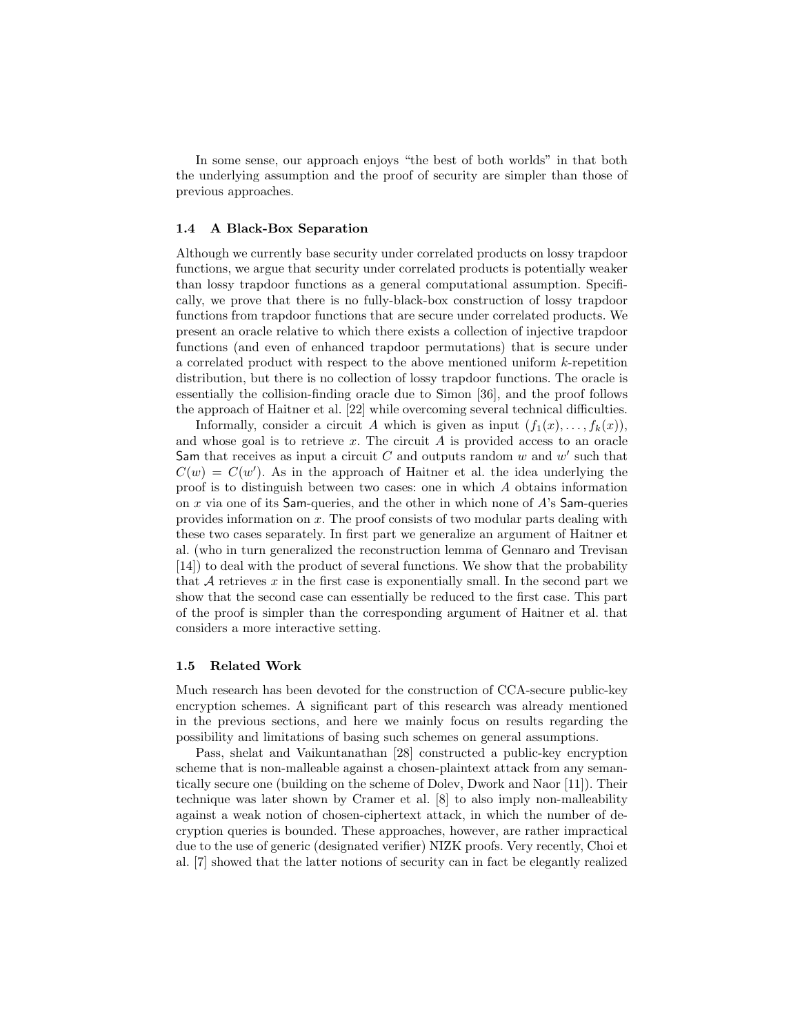In some sense, our approach enjoys "the best of both worlds" in that both the underlying assumption and the proof of security are simpler than those of previous approaches.

## 1.4 A Black-Box Separation

Although we currently base security under correlated products on lossy trapdoor functions, we argue that security under correlated products is potentially weaker than lossy trapdoor functions as a general computational assumption. Specifically, we prove that there is no fully-black-box construction of lossy trapdoor functions from trapdoor functions that are secure under correlated products. We present an oracle relative to which there exists a collection of injective trapdoor functions (and even of enhanced trapdoor permutations) that is secure under a correlated product with respect to the above mentioned uniform k-repetition distribution, but there is no collection of lossy trapdoor functions. The oracle is essentially the collision-finding oracle due to Simon [36], and the proof follows the approach of Haitner et al. [22] while overcoming several technical difficulties.

Informally, consider a circuit A which is given as input  $(f_1(x), \ldots, f_k(x)),$ and whose goal is to retrieve  $x$ . The circuit  $A$  is provided access to an oracle Sam that receives as input a circuit  $C$  and outputs random  $w$  and  $w'$  such that  $C(w) = C(w')$ . As in the approach of Haitner et al. the idea underlying the proof is to distinguish between two cases: one in which A obtains information on x via one of its Sam-queries, and the other in which none of  $A$ 's Sam-queries provides information on x. The proof consists of two modular parts dealing with these two cases separately. In first part we generalize an argument of Haitner et al. (who in turn generalized the reconstruction lemma of Gennaro and Trevisan [14]) to deal with the product of several functions. We show that the probability that  $A$  retrieves  $x$  in the first case is exponentially small. In the second part we show that the second case can essentially be reduced to the first case. This part of the proof is simpler than the corresponding argument of Haitner et al. that considers a more interactive setting.

### 1.5 Related Work

Much research has been devoted for the construction of CCA-secure public-key encryption schemes. A significant part of this research was already mentioned in the previous sections, and here we mainly focus on results regarding the possibility and limitations of basing such schemes on general assumptions.

Pass, shelat and Vaikuntanathan [28] constructed a public-key encryption scheme that is non-malleable against a chosen-plaintext attack from any semantically secure one (building on the scheme of Dolev, Dwork and Naor [11]). Their technique was later shown by Cramer et al. [8] to also imply non-malleability against a weak notion of chosen-ciphertext attack, in which the number of decryption queries is bounded. These approaches, however, are rather impractical due to the use of generic (designated verifier) NIZK proofs. Very recently, Choi et al. [7] showed that the latter notions of security can in fact be elegantly realized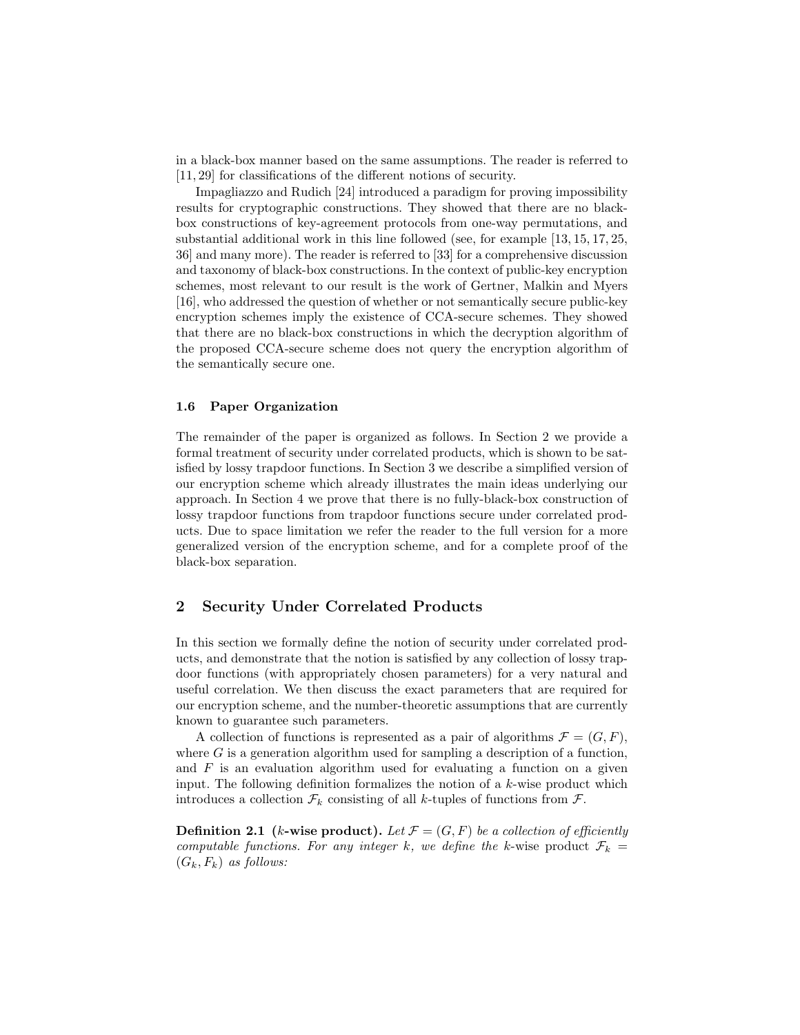in a black-box manner based on the same assumptions. The reader is referred to [11, 29] for classifications of the different notions of security.

Impagliazzo and Rudich [24] introduced a paradigm for proving impossibility results for cryptographic constructions. They showed that there are no blackbox constructions of key-agreement protocols from one-way permutations, and substantial additional work in this line followed (see, for example [13, 15, 17, 25, 36] and many more). The reader is referred to [33] for a comprehensive discussion and taxonomy of black-box constructions. In the context of public-key encryption schemes, most relevant to our result is the work of Gertner, Malkin and Myers [16], who addressed the question of whether or not semantically secure public-key encryption schemes imply the existence of CCA-secure schemes. They showed that there are no black-box constructions in which the decryption algorithm of the proposed CCA-secure scheme does not query the encryption algorithm of the semantically secure one.

## 1.6 Paper Organization

The remainder of the paper is organized as follows. In Section 2 we provide a formal treatment of security under correlated products, which is shown to be satisfied by lossy trapdoor functions. In Section 3 we describe a simplified version of our encryption scheme which already illustrates the main ideas underlying our approach. In Section 4 we prove that there is no fully-black-box construction of lossy trapdoor functions from trapdoor functions secure under correlated products. Due to space limitation we refer the reader to the full version for a more generalized version of the encryption scheme, and for a complete proof of the black-box separation.

## 2 Security Under Correlated Products

In this section we formally define the notion of security under correlated products, and demonstrate that the notion is satisfied by any collection of lossy trapdoor functions (with appropriately chosen parameters) for a very natural and useful correlation. We then discuss the exact parameters that are required for our encryption scheme, and the number-theoretic assumptions that are currently known to guarantee such parameters.

A collection of functions is represented as a pair of algorithms  $\mathcal{F} = (G, F)$ , where  $G$  is a generation algorithm used for sampling a description of a function, and  $F$  is an evaluation algorithm used for evaluating a function on a given input. The following definition formalizes the notion of a k-wise product which introduces a collection  $\mathcal{F}_k$  consisting of all k-tuples of functions from  $\mathcal{F}_k$ .

**Definition 2.1** (k-wise product). Let  $\mathcal{F} = (G, F)$  be a collection of efficiently computable functions. For any integer k, we define the k-wise product  $\mathcal{F}_k =$  $(G_k, F_k)$  as follows: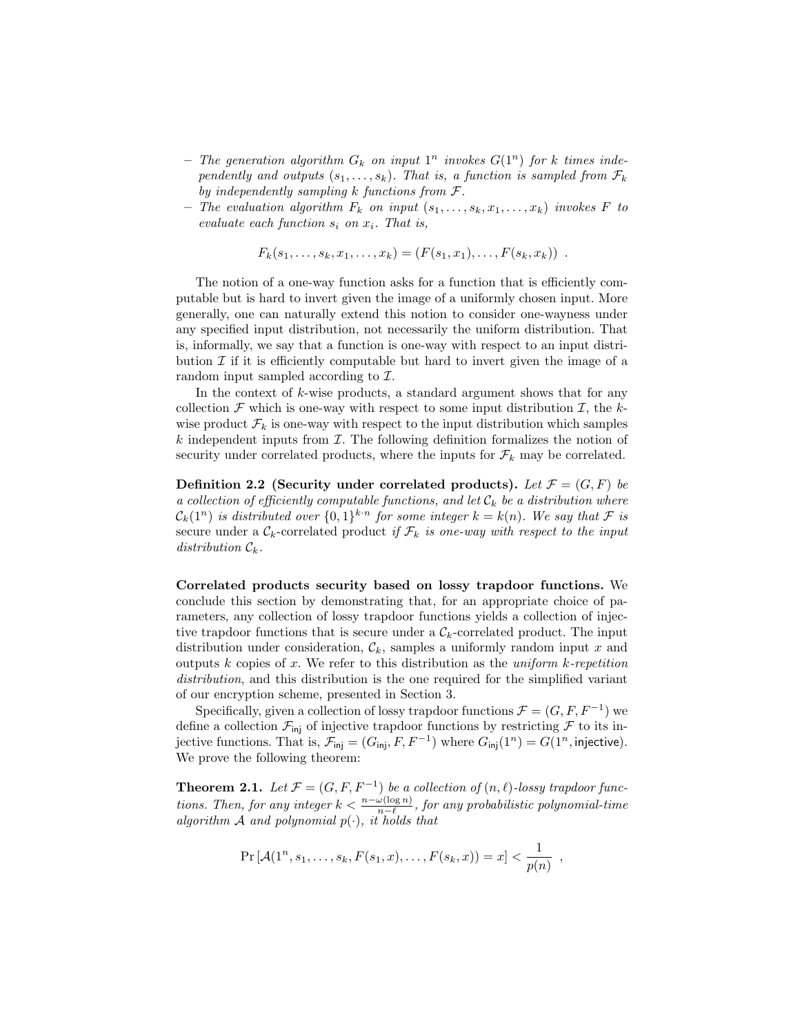- The generation algorithm  $G_k$  on input  $1^n$  invokes  $G(1^n)$  for k times independently and outputs  $(s_1, \ldots, s_k)$ . That is, a function is sampled from  $\mathcal{F}_k$ by independently sampling  $k$  functions from  $\mathcal{F}.$
- The evaluation algorithm  $F_k$  on input  $(s_1, \ldots, s_k, x_1, \ldots, x_k)$  invokes F to evaluate each function  $s_i$  on  $x_i$ . That is,

$$
F_k(s_1,\ldots,s_k,x_1,\ldots,x_k)=(F(s_1,x_1),\ldots,F(s_k,x_k))
$$
.

The notion of a one-way function asks for a function that is efficiently computable but is hard to invert given the image of a uniformly chosen input. More generally, one can naturally extend this notion to consider one-wayness under any specified input distribution, not necessarily the uniform distribution. That is, informally, we say that a function is one-way with respect to an input distribution  $\mathcal I$  if it is efficiently computable but hard to invert given the image of a random input sampled according to  $\mathcal{I}$ .

In the context of  $k$ -wise products, a standard argument shows that for any collection  $\mathcal F$  which is one-way with respect to some input distribution  $\mathcal I$ , the kwise product  $\mathcal{F}_k$  is one-way with respect to the input distribution which samples  $k$  independent inputs from  $\mathcal I$ . The following definition formalizes the notion of security under correlated products, where the inputs for  $\mathcal{F}_k$  may be correlated.

Definition 2.2 (Security under correlated products). Let  $\mathcal{F} = (G, F)$  be a collection of efficiently computable functions, and let  $\mathcal{C}_k$  be a distribution where  $\mathcal{C}_k(1^n)$  is distributed over  $\{0,1\}^{k \cdot n}$  for some integer  $k = k(n)$ . We say that  $\mathcal F$  is secure under a  $\mathcal{C}_k$ -correlated product if  $\mathcal{F}_k$  is one-way with respect to the input distribution  $\mathcal{C}_k$ .

Correlated products security based on lossy trapdoor functions. We conclude this section by demonstrating that, for an appropriate choice of parameters, any collection of lossy trapdoor functions yields a collection of injective trapdoor functions that is secure under a  $\mathcal{C}_k$ -correlated product. The input distribution under consideration,  $\mathcal{C}_k$ , samples a uniformly random input x and outputs k copies of x. We refer to this distribution as the uniform  $k$ -repetition distribution, and this distribution is the one required for the simplified variant of our encryption scheme, presented in Section 3.

Specifically, given a collection of lossy trapdoor functions  $\mathcal{F} = (G, F, F^{-1})$  we define a collection  $\mathcal{F}_{\text{inj}}$  of injective trapdoor functions by restricting  $\mathcal F$  to its injective functions. That is,  $\mathcal{F}_{\text{inj}} = (G_{\text{inj}}, F, F^{-1})$  where  $G_{\text{inj}}(1^n) = G(1^n, \text{injective})$ . We prove the following theorem:

**Theorem 2.1.** Let  $\mathcal{F} = (G, F, F^{-1})$  be a collection of  $(n, \ell)$ -lossy trapdoor functions. Then, for any integer  $k < \frac{n - \omega(\log n)}{n - \ell}$ , for any probabilistic polynomial-time algorithm A and polynomial  $p(\cdot)$ , it holds that

$$
\Pr\left[\mathcal{A}(1^n, s_1, \dots, s_k, F(s_1, x), \dots, F(s_k, x)) = x\right] < \frac{1}{p(n)},
$$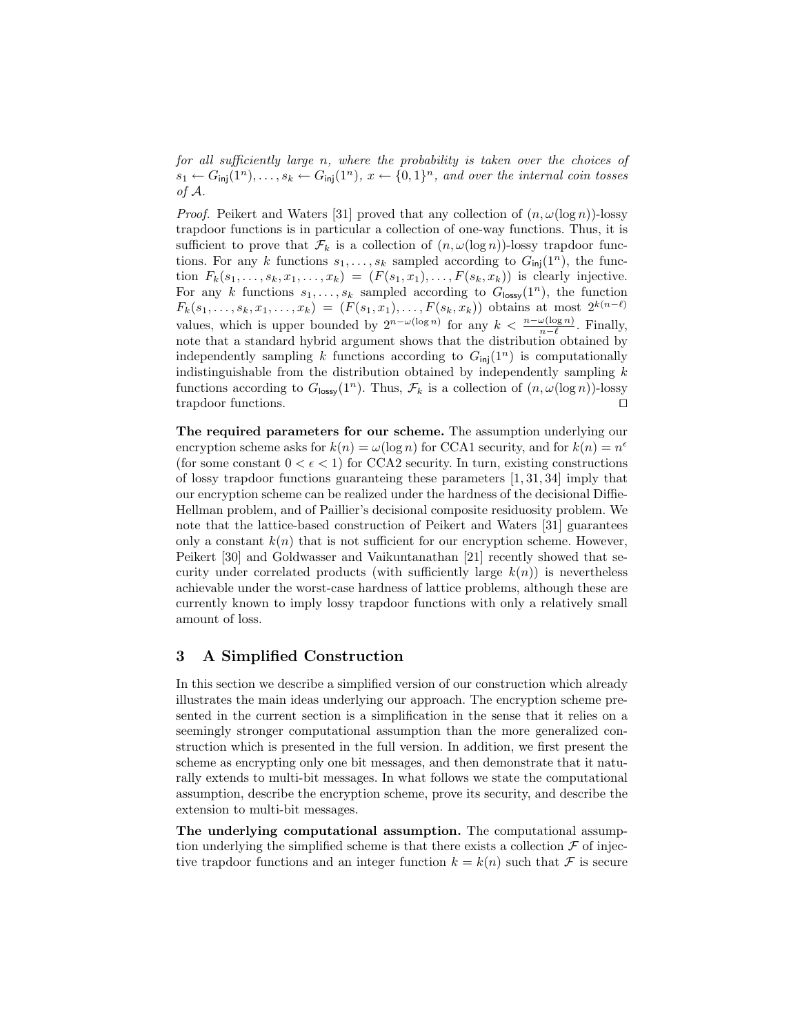for all sufficiently large n, where the probability is taken over the choices of  $s_1 \leftarrow G_{\text{inj}}(1^n), \ldots, s_k \leftarrow G_{\text{inj}}(1^n), x \leftarrow \{0,1\}^n$ , and over the internal coin tosses of A.

*Proof.* Peikert and Waters [31] proved that any collection of  $(n, \omega(\log n))$ -lossy trapdoor functions is in particular a collection of one-way functions. Thus, it is sufficient to prove that  $\mathcal{F}_k$  is a collection of  $(n, \omega(\log n))$ -lossy trapdoor functions. For any k functions  $s_1, \ldots, s_k$  sampled according to  $G_{\text{inj}}(1^n)$ , the function  $F_k(s_1,\ldots,s_k,x_1,\ldots,x_k) = (F(s_1,x_1),\ldots,F(s_k,x_k))$  is clearly injective. For any k functions  $s_1, \ldots, s_k$  sampled according to  $G_{\text{lossy}}(1^n)$ , the function  $F_k(s_1, \ldots, s_k, x_1, \ldots, x_k) = (F(s_1, x_1), \ldots, F(s_k, x_k))$  obtains at most  $2^{k(n-\ell)}$ values, which is upper bounded by  $2^{n-\omega(\log n)}$  for any  $k < \frac{n-\omega(\log n)}{n-\ell}$ . Finally, note that a standard hybrid argument shows that the distribution obtained by independently sampling k functions according to  $G_{\text{inj}}(1^n)$  is computationally indistinguishable from the distribution obtained by independently sampling  $k$ functions according to  $G_{\text{lossy}}(1^n)$ . Thus,  $\mathcal{F}_k$  is a collection of  $(n, \omega(\log n))$ -lossy trapdoor functions.

The required parameters for our scheme. The assumption underlying our encryption scheme asks for  $k(n) = \omega(\log n)$  for CCA1 security, and for  $k(n) = n^{\epsilon}$ (for some constant  $0 < \epsilon < 1$ ) for CCA2 security. In turn, existing constructions of lossy trapdoor functions guaranteing these parameters [1, 31, 34] imply that our encryption scheme can be realized under the hardness of the decisional Diffie-Hellman problem, and of Paillier's decisional composite residuosity problem. We note that the lattice-based construction of Peikert and Waters [31] guarantees only a constant  $k(n)$  that is not sufficient for our encryption scheme. However, Peikert [30] and Goldwasser and Vaikuntanathan [21] recently showed that security under correlated products (with sufficiently large  $k(n)$ ) is nevertheless achievable under the worst-case hardness of lattice problems, although these are currently known to imply lossy trapdoor functions with only a relatively small amount of loss.

# 3 A Simplified Construction

In this section we describe a simplified version of our construction which already illustrates the main ideas underlying our approach. The encryption scheme presented in the current section is a simplification in the sense that it relies on a seemingly stronger computational assumption than the more generalized construction which is presented in the full version. In addition, we first present the scheme as encrypting only one bit messages, and then demonstrate that it naturally extends to multi-bit messages. In what follows we state the computational assumption, describe the encryption scheme, prove its security, and describe the extension to multi-bit messages.

The underlying computational assumption. The computational assumption underlying the simplified scheme is that there exists a collection  $\mathcal F$  of injective trapdoor functions and an integer function  $k = k(n)$  such that F is secure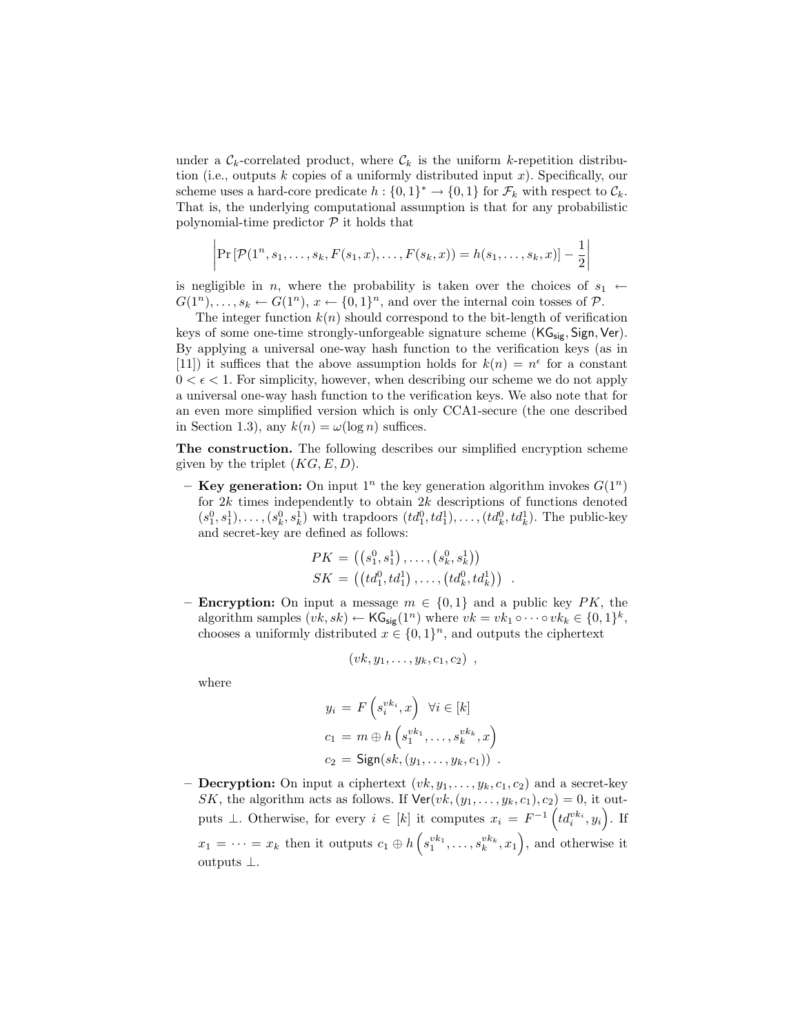under a  $\mathcal{C}_k$ -correlated product, where  $\mathcal{C}_k$  is the uniform k-repetition distribution (i.e., outputs  $k$  copies of a uniformly distributed input  $x$ ). Specifically, our scheme uses a hard-core predicate  $h: \{0,1\}^* \to \{0,1\}$  for  $\mathcal{F}_k$  with respect to  $\mathcal{C}_k$ . That is, the underlying computational assumption is that for any probabilistic polynomial-time predictor  $P$  it holds that

$$
\left| \Pr \left[ \mathcal{P} (1^n, s_1, \dots, s_k, F(s_1, x), \dots, F(s_k, x) \right] = h(s_1, \dots, s_k, x) \right] - \frac{1}{2} \right|
$$

is negligible in n, where the probability is taken over the choices of  $s_1 \leftarrow$  $G(1^n), \ldots, s_k \leftarrow G(1^n), x \leftarrow \{0,1\}^n$ , and over the internal coin tosses of  $\mathcal{P}$ .

The integer function  $k(n)$  should correspond to the bit-length of verification keys of some one-time strongly-unforgeable signature scheme  $(KG_{\text{sig}},$  Sign, Ver). By applying a universal one-way hash function to the verification keys (as in [11]) it suffices that the above assumption holds for  $k(n) = n^{\epsilon}$  for a constant  $0 < \epsilon < 1$ . For simplicity, however, when describing our scheme we do not apply a universal one-way hash function to the verification keys. We also note that for an even more simplified version which is only CCA1-secure (the one described in Section 1.3), any  $k(n) = \omega(\log n)$  suffices.

The construction. The following describes our simplified encryption scheme given by the triplet  $(KG, E, D)$ .

– Key generation: On input  $1^n$  the key generation algorithm invokes  $G(1^n)$ for  $2k$  times independently to obtain  $2k$  descriptions of functions denoted  $(s_1^0, s_1^1), \ldots, (s_k^0, s_k^1)$  with trapdoors  $(td_1^0, td_1^1), \ldots, (td_k^0, td_k^1)$ . The public-key and secret-key are defined as follows:

$$
PK = ((s_1^0, s_1^1), \ldots, (s_k^0, s_k^1))
$$
  

$$
SK = ((td_1^0, td_1^1), \ldots, (td_k^0, td_k^1))
$$
.

– **Encryption:** On input a message  $m \in \{0, 1\}$  and a public key PK, the algorithm samples  $(vk, sk) \leftarrow \mathsf{KG}_{sig}(1^n)$  where  $vk = vk_1 \circ \cdots \circ vk_k \in \{0, 1\}^k$ , chooses a uniformly distributed  $x \in \{0,1\}^n$ , and outputs the ciphertext

$$
(vk, y_1, \ldots, y_k, c_1, c_2),
$$

where

$$
y_i = F\left(s_i^{vk_i}, x\right) \ \forall i \in [k]
$$

$$
c_1 = m \oplus h\left(s_1^{vk_1}, \dots, s_k^{vk_k}, x\right)
$$

$$
c_2 = \text{Sign}(sk, (y_1, \dots, y_k, c_1)) \ .
$$

– **Decryption:** On input a ciphertext  $(vk, y_1, \ldots, y_k, c_1, c_2)$  and a secret-key SK, the algorithm acts as follows. If  $\text{Ver}(vk, (y_1, \ldots, y_k, c_1), c_2) = 0$ , it outputs  $\bot$ . Otherwise, for every  $i \in [k]$  it computes  $x_i = F^{-1} \left( t d_i^{v k_i}, y_i \right)$ . If  $x_1 = \cdots = x_k$  then it outputs  $c_1 \oplus h(s_1^{v_{k_1}}, \ldots, s_k^{v_{k_k}}, x_1)$ , and otherwise it outputs ⊥.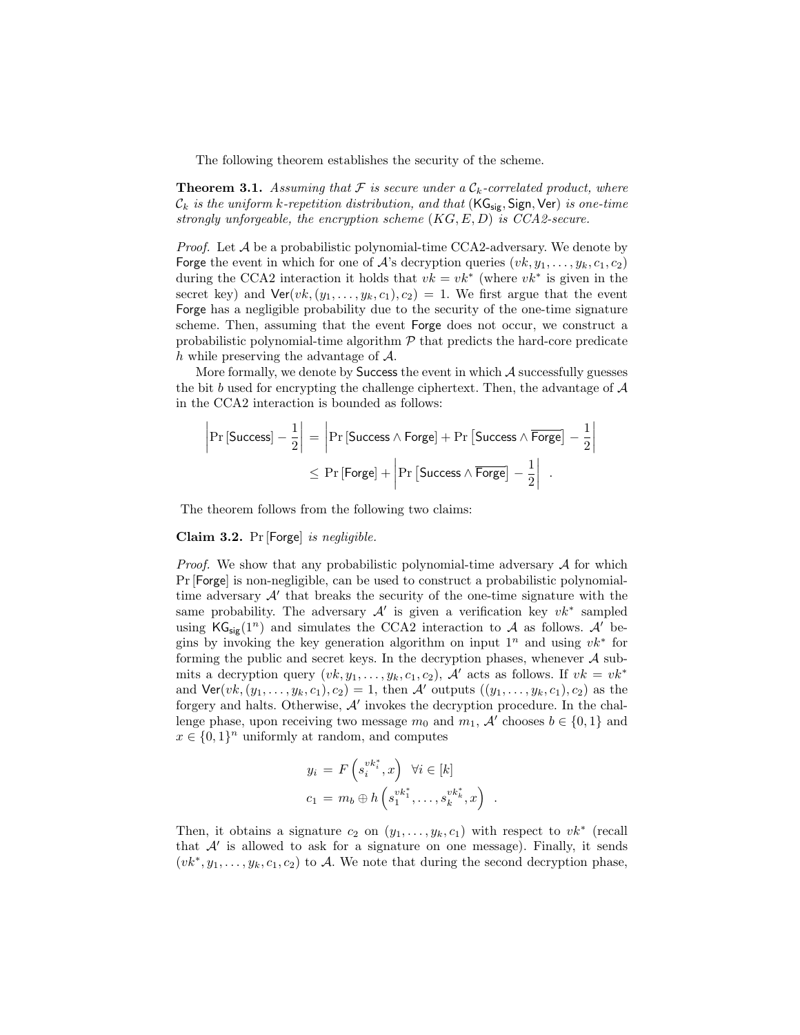The following theorem establishes the security of the scheme.

**Theorem 3.1.** Assuming that  $\mathcal F$  is secure under a  $\mathcal C_k$ -correlated product, where  $\mathcal{C}_k$  is the uniform k-repetition distribution, and that ( $\mathsf{KG}_{\mathsf{sig}}$ , Sign, Ver) is one-time strongly unforgeable, the encryption scheme  $(KG, E, D)$  is  $CCA2\text{-}secure.$ 

*Proof.* Let  $\mathcal A$  be a probabilistic polynomial-time CCA2-adversary. We denote by Forge the event in which for one of A's decryption queries  $(vk, y_1, \ldots, y_k, c_1, c_2)$ during the CCA2 interaction it holds that  $vk = vk^*$  (where  $vk^*$  is given in the secret key) and  $\text{Ver}(vk, (y_1, \ldots, y_k, c_1), c_2) = 1$ . We first argue that the event Forge has a negligible probability due to the security of the one-time signature scheme. Then, assuming that the event Forge does not occur, we construct a probabilistic polynomial-time algorithm  $P$  that predicts the hard-core predicate  $h$  while preserving the advantage of  $A$ .

More formally, we denote by Success the event in which A successfully guesses the bit b used for encrypting the challenge ciphertext. Then, the advantage of  $A$ in the CCA2 interaction is bounded as follows:

$$
\left|\Pr\left[\text{Success}\right] - \frac{1}{2}\right| = \left|\Pr\left[\text{Success} \land \text{Forge}\right] + \Pr\left[\text{Success} \land \overline{\text{Forge}}\right] - \frac{1}{2}\right|
$$

$$
\leq \Pr\left[\text{Forge}\right] + \left|\Pr\left[\text{Success} \land \overline{\text{Forge}}\right] - \frac{1}{2}\right|
$$

The theorem follows from the following two claims:

## Claim 3.2. Pr [Forge] is negligible.

*Proof.* We show that any probabilistic polynomial-time adversary  $A$  for which Pr [Forge] is non-negligible, can be used to construct a probabilistic polynomialtime adversary  $A'$  that breaks the security of the one-time signature with the same probability. The adversary  $A'$  is given a verification key  $vk^*$  sampled using  $\mathsf{KG}_{\mathsf{sir}}(1^n)$  and simulates the CCA2 interaction to A as follows. A' begins by invoking the key generation algorithm on input  $1^n$  and using  $vk^*$  for forming the public and secret keys. In the decryption phases, whenever  $A$  submits a decryption query  $(vk, y_1, \ldots, y_k, c_1, c_2)$ , A' acts as follows. If  $vk = vk^*$ and  $\textsf{Ver}(vk, (y_1, \ldots, y_k, c_1), c_2) = 1$ , then A' outputs  $((y_1, \ldots, y_k, c_1), c_2)$  as the forgery and halts. Otherwise,  $A'$  invokes the decryption procedure. In the challenge phase, upon receiving two message  $m_0$  and  $m_1$ , A' chooses  $b \in \{0, 1\}$  and  $x \in \{0,1\}^n$  uniformly at random, and computes

$$
y_i = F\left(s_i^{vk_i^*}, x\right) \forall i \in [k]
$$
  

$$
c_1 = m_b \oplus h\left(s_1^{vk_1^*}, \dots, s_k^{vk_k^*}, x\right)
$$

.

Then, it obtains a signature  $c_2$  on  $(y_1, \ldots, y_k, c_1)$  with respect to  $vk^*$  (recall that  $A'$  is allowed to ask for a signature on one message). Finally, it sends  $(vk^*, y_1, \ldots, y_k, c_1, c_2)$  to A. We note that during the second decryption phase,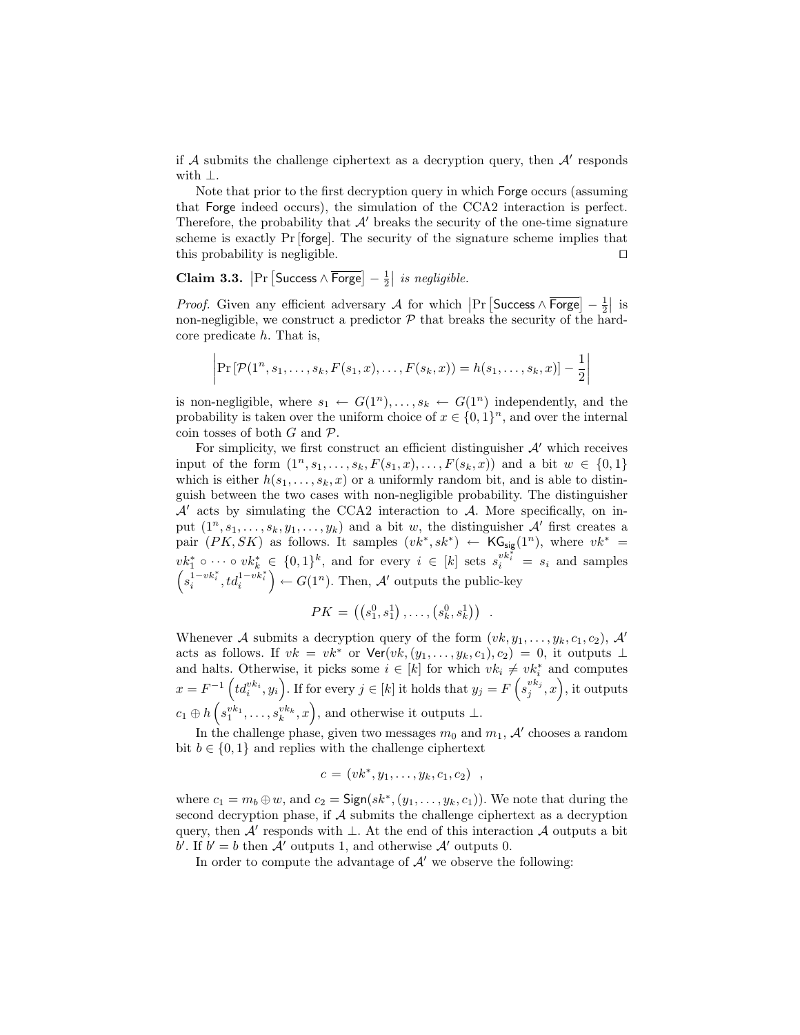if  $A$  submits the challenge ciphertext as a decryption query, then  $A'$  responds with ⊥.

Note that prior to the first decryption query in which Forge occurs (assuming that Forge indeed occurs), the simulation of the CCA2 interaction is perfect. Therefore, the probability that  $\mathcal{A}'$  breaks the security of the one-time signature scheme is exactly Pr [forge]. The security of the signature scheme implies that this probability is negligible.  $\Box$ 

Claim 3.3.  $\left|\Pr\left[\text{Success} \wedge \overline{\text{Forge}}\right] - \frac{1}{2}\right|$  $\vert$  is negligible.

*Proof.* Given any efficient adversary  $A$  for which  $\left|\Pr\left[\text{Success} \wedge \overline{\text{Forge}}\right] - \frac{1}{2}\right|$  $|$  is non-negligible, we construct a predictor  $P$  that breaks the security of the hardcore predicate  $h$ . That is,

$$
\left| \Pr \left[ \mathcal{P} (1^n, s_1, \dots, s_k, F(s_1, x), \dots, F(s_k, x) \right] = h(s_1, \dots, s_k, x) \right] - \frac{1}{2} \right|
$$

is non-negligible, where  $s_1 \leftarrow G(1^n), \ldots, s_k \leftarrow G(1^n)$  independently, and the probability is taken over the uniform choice of  $x \in \{0,1\}^n$ , and over the internal coin tosses of both  $G$  and  $\mathcal{P}$ .

For simplicity, we first construct an efficient distinguisher  $A'$  which receives input of the form  $(1^n, s_1, \ldots, s_k, F(s_1, x), \ldots, F(s_k, x))$  and a bit  $w \in \{0, 1\}$ which is either  $h(s_1, \ldots, s_k, x)$  or a uniformly random bit, and is able to distinguish between the two cases with non-negligible probability. The distinguisher  $\mathcal{A}'$  acts by simulating the CCA2 interaction to  $\mathcal{A}$ . More specifically, on input  $(1^n, s_1, \ldots, s_k, y_1, \ldots, y_k)$  and a bit w, the distinguisher  $\mathcal{A}'$  first creates a pair  $(PK, SK)$  as follows. It samples  $(vk^*, sk^*) \leftarrow KG_{sig}(1^n)$ , where  $vk^* =$  $vk_1^* \circ \cdots \circ vk_k^* \in \{0,1\}^k$ , and for every  $i \in [k]$  sets  $s_i^{vk_i^*} = s_i$  and samples  $s_i^{1-vk_i^*}, td_i^{1-vk_i^*}$ ´  $\leftarrow G(1^n)$ . Then, A' outputs the public-key ¢

$$
PK = ((s_1^0, s_1^1), \ldots, (s_k^0, s_k^1)) \ .
$$

Whenever A submits a decryption query of the form  $(vk, y_1, \ldots, y_k, c_1, c_2)$ , A' acts as follows. If  $vk = vk^*$  or  $\text{Ver}(vk, (y_1, \ldots, y_k, c_1), c_2) = 0$ , it outputs ⊥ and halts. Otherwise, it picks some  $i \in [k]$  for which  $vk_i \neq vk_i^*$  and computes and natts. Otherwise, it picks some  $i \in [k]$  for which  $vk_i \neq vk_i$  and computes  $x = F^{-1} ig(td_i^{vk_i}, y_i)$ . If for every  $j \in [k]$  it holds that  $y_j = F ig(s_j^{vk_j}, x)$ , it outputs  $c_1 \oplus h(s_1^{vk_1}, \ldots, s_k^{vk_k}, x)$ , and otherwise it outputs ⊥.

In the challenge phase, given two messages  $m_0$  and  $m_1$ , A' chooses a random bit  $b \in \{0,1\}$  and replies with the challenge ciphertext

$$
c = (vk^*, y_1, \ldots, y_k, c_1, c_2) ,
$$

where  $c_1 = m_b \oplus w$ , and  $c_2 = \text{Sign}(sk^*, (y_1, \ldots, y_k, c_1))$ . We note that during the second decryption phase, if  $A$  submits the challenge ciphertext as a decryption query, then  $\mathcal{A}'$  responds with  $\bot$ . At the end of this interaction  $\mathcal{A}$  outputs a bit b'. If  $b' = b$  then A' outputs 1, and otherwise A' outputs 0.

In order to compute the advantage of  $A'$  we observe the following: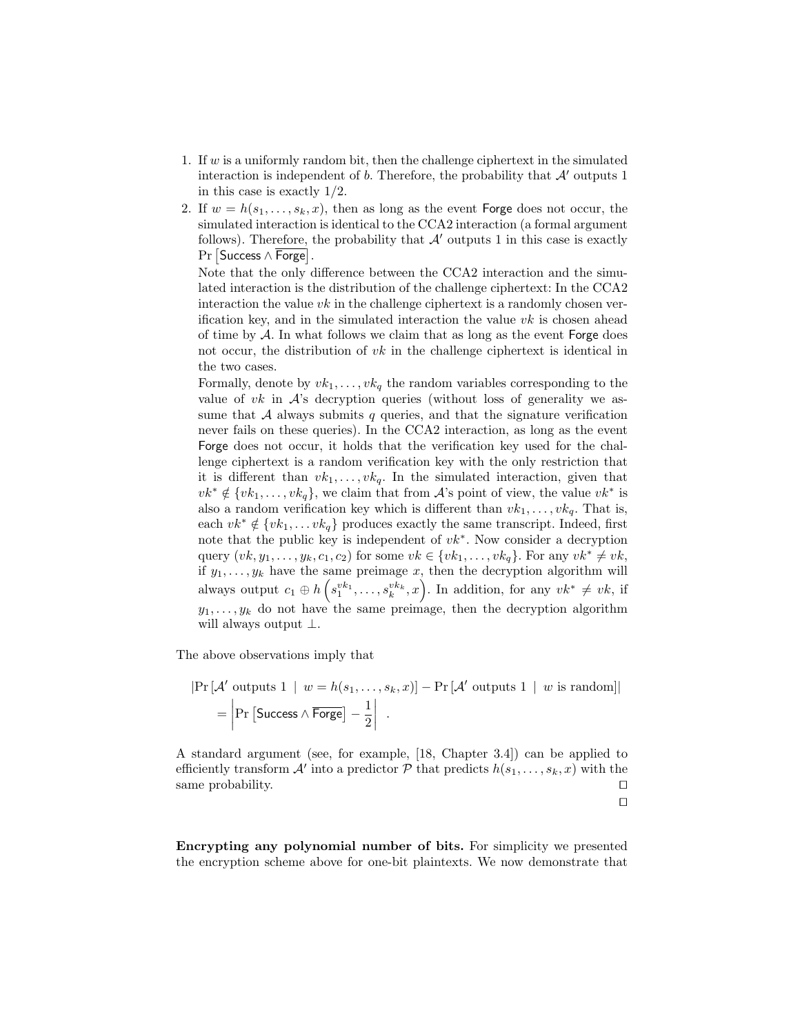- 1. If w is a uniformly random bit, then the challenge ciphertext in the simulated interaction is independent of b. Therefore, the probability that  $\mathcal{A}'$  outputs 1 in this case is exactly 1/2.
- 2. If  $w = h(s_1, \ldots, s_k, x)$ , then as long as the event **Forge** does not occur, the simulated interaction is identical to the CCA2 interaction (a formal argument follows). Therefore, the probability that  $\mathcal{A}'$  outputs 1 in this case is exactly roпоws). ⊥nererore, 1<br>Pr [Success ∧ Forge].

Note that the only difference between the CCA2 interaction and the simulated interaction is the distribution of the challenge ciphertext: In the CCA2 interaction the value  $vk$  in the challenge ciphertext is a randomly chosen verification key, and in the simulated interaction the value  $vk$  is chosen ahead of time by  $\mathcal A$ . In what follows we claim that as long as the event Forge does not occur, the distribution of  $vk$  in the challenge ciphertext is identical in the two cases.

Formally, denote by  $vk_1, \ldots, vk_q$  the random variables corresponding to the value of vk in  $\mathcal{A}$ 's decryption queries (without loss of generality we assume that  $A$  always submits  $q$  queries, and that the signature verification never fails on these queries). In the CCA2 interaction, as long as the event Forge does not occur, it holds that the verification key used for the challenge ciphertext is a random verification key with the only restriction that it is different than  $vk_1, \ldots, vk_q$ . In the simulated interaction, given that  $vk^* \notin \{vk_1, \ldots, vk_q\}$ , we claim that from A's point of view, the value  $vk^*$  is also a random verification key which is different than  $vk_1, \ldots, vk_q$ . That is, each  $vk^* \notin \{vk_1, \ldots vk_q\}$  produces exactly the same transcript. Indeed, first note that the public key is independent of  $vk^*$ . Now consider a decryption query  $(vk, y_1, \ldots, y_k, c_1, c_2)$  for some  $vk \in \{vk_1, \ldots, vk_q\}$ . For any  $vk^* \neq vk$ , if  $y_1, \ldots, y_k$  have the same preimage x, then the decryption algorithm will always output  $c_1 \oplus h$ ³ ame preimage x, then the decryption algorithm will<br>  $s_1^{vk_1}, \ldots, s_k^{vk_k}, x$ . In addition, for any  $vk^* \neq vk$ , if  $y_1, \ldots, y_k$  do not have the same preimage, then the decryption algorithm will always output ⊥.

The above observations imply that

$$
|\Pr[\mathcal{A'}\text{ outputs }1 | w = h(s_1,\ldots,s_k,x)] - \Pr[\mathcal{A'}\text{ outputs }1 | w \text{ is random}]|
$$
  
= 
$$
|\Pr[\text{Success } \land \overline{\text{Forge}}] - \frac{1}{2} | .
$$

A standard argument (see, for example, [18, Chapter 3.4]) can be applied to efficiently transform  $\mathcal{A}'$  into a predictor  $\mathcal{P}$  that predicts  $h(s_1, \ldots, s_k, x)$  with the same probability.  $\hfill \Box$ 

$$
\mathbb{E}^{\mathbb{E}}
$$

Encrypting any polynomial number of bits. For simplicity we presented the encryption scheme above for one-bit plaintexts. We now demonstrate that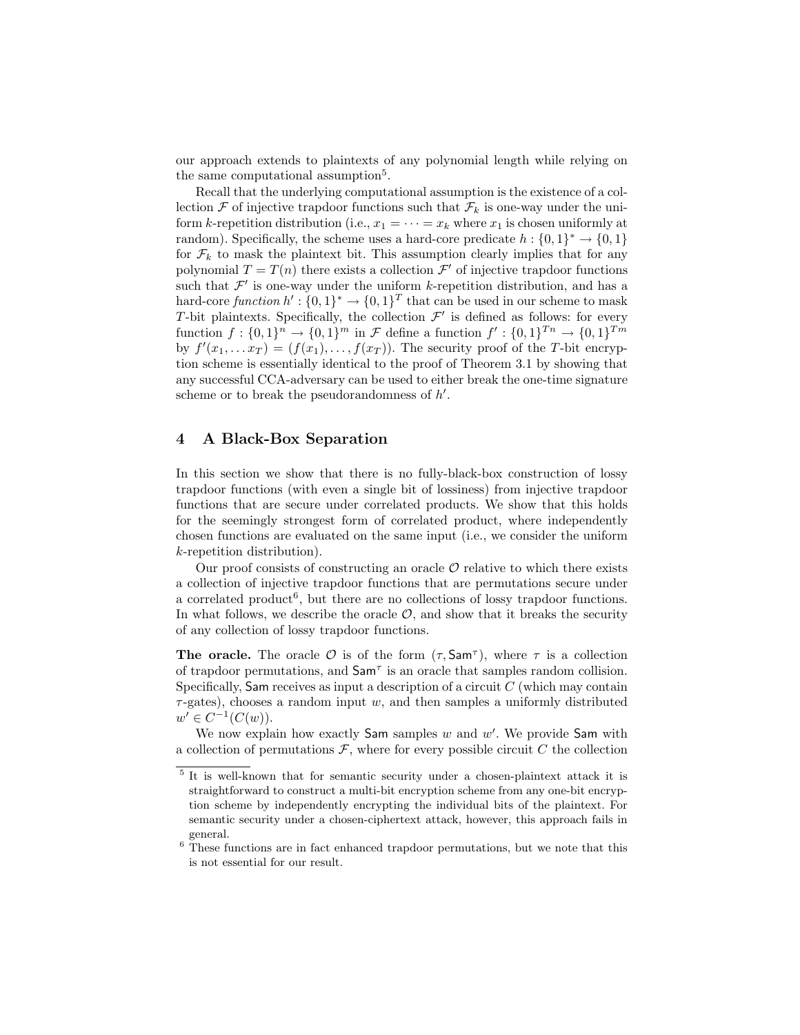our approach extends to plaintexts of any polynomial length while relying on the same computational assumption<sup>5</sup>.

Recall that the underlying computational assumption is the existence of a collection  $\mathcal F$  of injective trapdoor functions such that  $\mathcal F_k$  is one-way under the uniform k-repetition distribution (i.e.,  $x_1 = \cdots = x_k$  where  $x_1$  is chosen uniformly at random). Specifically, the scheme uses a hard-core predicate  $h: \{0,1\}^* \to \{0,1\}$ for  $\mathcal{F}_k$  to mask the plaintext bit. This assumption clearly implies that for any polynomial  $T = T(n)$  there exists a collection  $\mathcal{F}'$  of injective trapdoor functions such that  $\mathcal{F}'$  is one-way under the uniform k-repetition distribution, and has a hard-core function  $h' : \{0,1\}^* \to \{0,1\}^T$  that can be used in our scheme to mask T-bit plaintexts. Specifically, the collection  $\mathcal{F}'$  is defined as follows: for every function  $f: \{0,1\}^n \to \{0,1\}^m$  in F define a function  $f': \{0,1\}^{T_n} \to \{0,1\}^{T_m}$ by  $f'(x_1, \ldots x_T) = (f(x_1), \ldots, f(x_T))$ . The security proof of the T-bit encryption scheme is essentially identical to the proof of Theorem 3.1 by showing that any successful CCA-adversary can be used to either break the one-time signature scheme or to break the pseudorandomness of  $h'$ .

# 4 A Black-Box Separation

In this section we show that there is no fully-black-box construction of lossy trapdoor functions (with even a single bit of lossiness) from injective trapdoor functions that are secure under correlated products. We show that this holds for the seemingly strongest form of correlated product, where independently chosen functions are evaluated on the same input (i.e., we consider the uniform k-repetition distribution).

Our proof consists of constructing an oracle  $\mathcal O$  relative to which there exists a collection of injective trapdoor functions that are permutations secure under a correlated product<sup>6</sup>, but there are no collections of lossy trapdoor functions. In what follows, we describe the oracle  $\mathcal{O}$ , and show that it breaks the security of any collection of lossy trapdoor functions.

The oracle. The oracle  $\mathcal O$  is of the form  $(\tau, \textsf{Sam}^{\tau})$ , where  $\tau$  is a collection of trapdoor permutations, and  $\mathsf{Sam}^{\tau}$  is an oracle that samples random collision. Specifically, Sam receives as input a description of a circuit  $C$  (which may contain  $\tau$ -gates), chooses a random input w, and then samples a uniformly distributed  $w' \in C^{-1}(C(w)).$ 

We now explain how exactly Sam samples  $w$  and  $w'$ . We provide Sam with a collection of permutations  $\mathcal F$ , where for every possible circuit  $C$  the collection

<sup>&</sup>lt;sup>5</sup> It is well-known that for semantic security under a chosen-plaintext attack it is straightforward to construct a multi-bit encryption scheme from any one-bit encryption scheme by independently encrypting the individual bits of the plaintext. For semantic security under a chosen-ciphertext attack, however, this approach fails in general.

 $6$  These functions are in fact enhanced trapdoor permutations, but we note that this is not essential for our result.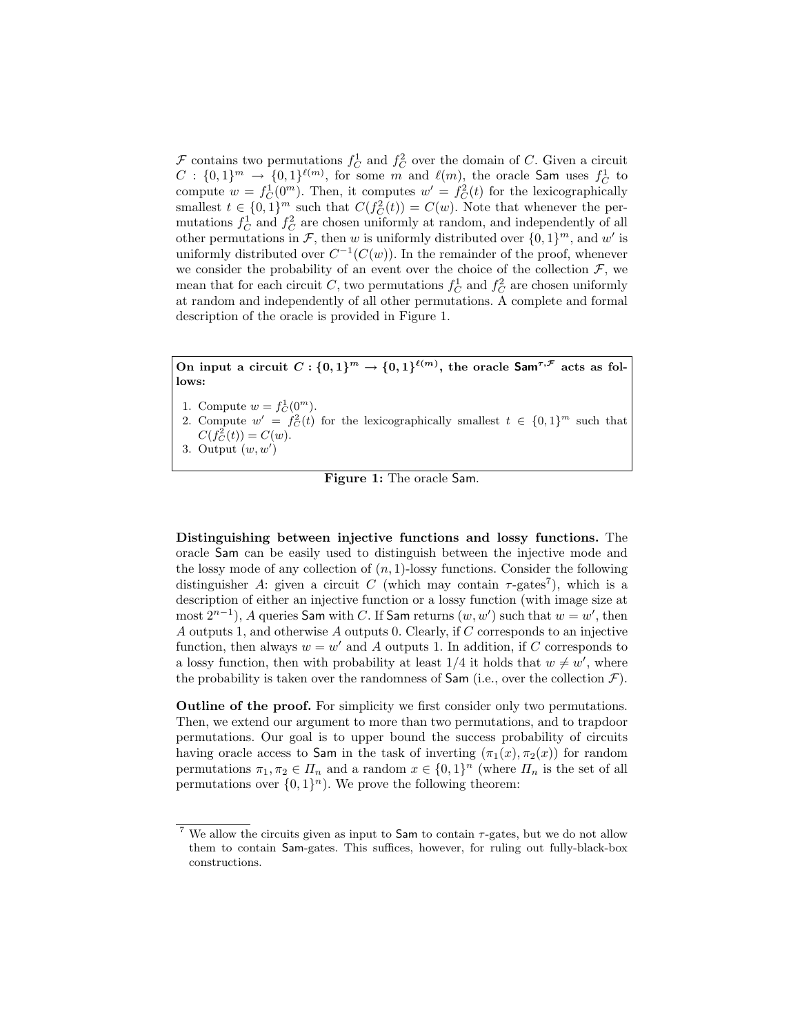$\mathcal F$  contains two permutations  $f_C^1$  and  $f_C^2$  over the domain of C. Given a circuit  $C: \{0,1\}^m \rightarrow \{0,1\}^{\ell(m)}$ , for some m and  $\ell(m)$ , the oracle Sam uses  $f_C^1$  to compute  $w = f_C^1(0^m)$ . Then, it computes  $w' = f_C^2(t)$  for the lexicographically smallest  $t \in \{0,1\}^m$  such that  $C(f_C^2(t)) = C(w)$ . Note that whenever the permutations  $f_C^1$  and  $f_C^2$  are chosen uniformly at random, and independently of all other permutations in F, then w is uniformly distributed over  $\{0,1\}^m$ , and w' is uniformly distributed over  $C^{-1}(C(w))$ . In the remainder of the proof, whenever we consider the probability of an event over the choice of the collection  $\mathcal{F}$ , we mean that for each circuit C, two permutations  $f_C^1$  and  $f_C^2$  are chosen uniformly at random and independently of all other permutations. A complete and formal description of the oracle is provided in Figure 1.

On input a circuit  $C: \{0,1\}^m \to \{0,1\}^{\ell(m)}$ , the oracle  $\mathsf{Sam}^{\tau,\mathcal{F}}$  acts as follows:

- 1. Compute  $w = f_C^1(0^m)$ .
- 2. Compute  $w' = f_C^2(t)$  for the lexicographically smallest  $t \in \{0,1\}^m$  such that  $C(f_C^2(t)) = C(w).$

3. Output 
$$
(w, w')
$$

Figure 1: The oracle Sam.

Distinguishing between injective functions and lossy functions. The oracle Sam can be easily used to distinguish between the injective mode and the lossy mode of any collection of  $(n, 1)$ -lossy functions. Consider the following distinguisher A: given a circuit C (which may contain  $\tau$ -gates<sup>7</sup>), which is a description of either an injective function or a lossy function (with image size at most  $2^{n-1}$ ), A queries Sam with C. If Sam returns  $(w, w')$  such that  $w = w'$ , then A outputs 1, and otherwise A outputs 0. Clearly, if C corresponds to an injective function, then always  $w = w'$  and A outputs 1. In addition, if C corresponds to a lossy function, then with probability at least  $1/4$  it holds that  $w \neq w'$ , where the probability is taken over the randomness of  $\mathsf{Sam}$  (i.e., over the collection  $\mathcal{F}$ ).

Outline of the proof. For simplicity we first consider only two permutations. Then, we extend our argument to more than two permutations, and to trapdoor permutations. Our goal is to upper bound the success probability of circuits having oracle access to Sam in the task of inverting  $(\pi_1(x), \pi_2(x))$  for random permutations  $\pi_1, \pi_2 \in \Pi_n$  and a random  $x \in \{0,1\}^n$  (where  $\Pi_n$  is the set of all permutations over  $\{0,1\}^n$ ). We prove the following theorem:

We allow the circuits given as input to  $Sam$  to contain  $\tau$ -gates, but we do not allow them to contain Sam-gates. This suffices, however, for ruling out fully-black-box constructions.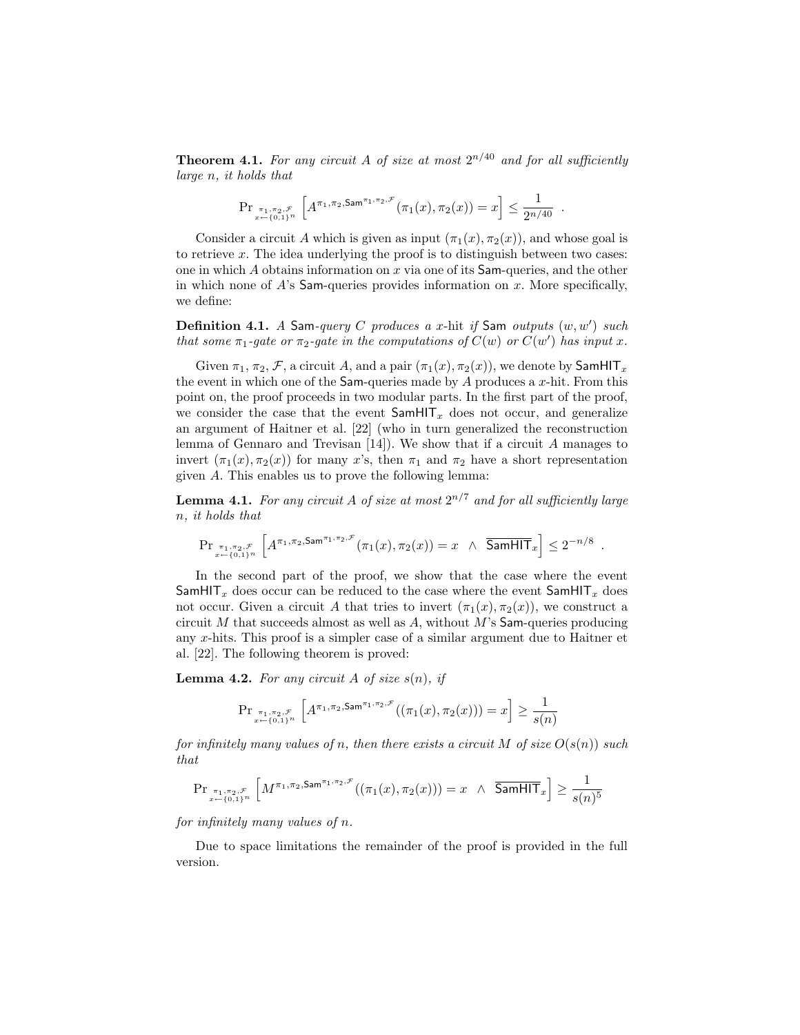**Theorem 4.1.** For any circuit A of size at most  $2^{n/40}$  and for all sufficiently large n, it holds that

$$
\Pr_{\pi_1, \pi_2, \mathcal{F} \atop x \leftarrow \{0,1\}^n} \left[ A^{\pi_1, \pi_2, \mathsf{Sam}^{\pi_1, \pi_2, \mathcal{F}}}(\pi_1(x), \pi_2(x)) = x \right] \le \frac{1}{2^{n/40}}.
$$

Consider a circuit A which is given as input  $(\pi_1(x), \pi_2(x))$ , and whose goal is to retrieve x. The idea underlying the proof is to distinguish between two cases: one in which  $A$  obtains information on  $x$  via one of its Sam-queries, and the other in which none of  $A$ 's Sam-queries provides information on x. More specifically, we define:

**Definition 4.1.** A Sam-query C produces a x-hit if Sam outputs  $(w, w')$  such that some  $\pi_1$ -gate or  $\pi_2$ -gate in the computations of  $C(w)$  or  $C(w')$  has input x.

Given  $\pi_1$ ,  $\pi_2$ ,  $\mathcal F$ , a circuit A, and a pair  $(\pi_1(x), \pi_2(x))$ , we denote by SamHIT<sub>x</sub> the event in which one of the Sam-queries made by  $A$  produces a  $x$ -hit. From this point on, the proof proceeds in two modular parts. In the first part of the proof, we consider the case that the event  $\textsf{SamHIT}_x$  does not occur, and generalize an argument of Haitner et al. [22] (who in turn generalized the reconstruction lemma of Gennaro and Trevisan  $[14]$ . We show that if a circuit A manages to invert  $(\pi_1(x), \pi_2(x))$  for many x's, then  $\pi_1$  and  $\pi_2$  have a short representation given A. This enables us to prove the following lemma:

**Lemma 4.1.** For any circuit A of size at most  $2^{n/7}$  and for all sufficiently large n, it holds that

$$
\Pr_{\pi_1, \pi_2, \mathcal{F} \atop x \leftarrow \{0,1\}^n} \left[ A^{\pi_1, \pi_2, \mathsf{Sam}^{\pi_1, \pi_2, \mathcal{F}}}(\pi_1(x), \pi_2(x)) = x \quad \wedge \quad \overline{\mathsf{SamHIT}}_x \right] \leq 2^{-n/8} \; .
$$

In the second part of the proof, we show that the case where the event SamHIT<sub>x</sub> does occur can be reduced to the case where the event SamHIT<sub>x</sub> does not occur. Given a circuit A that tries to invert  $(\pi_1(x), \pi_2(x))$ , we construct a circuit M that succeeds almost as well as  $A$ , without M's Sam-queries producing any x-hits. This proof is a simpler case of a similar argument due to Haitner et al. [22]. The following theorem is proved:

**Lemma 4.2.** For any circuit A of size  $s(n)$ , if

$$
\Pr_{\pi_1,\pi_2,\mathcal{F}\atop x\leftarrow \{0,1\}^n}\left[A^{\pi_1,\pi_2,\mathrm{Sam}^{\pi_1,\pi_2,\mathcal{F}}}\big((\pi_1(x),\pi_2(x))\big)=x\right]\geq \frac{1}{s(n)}
$$

for infinitely many values of n, then there exists a circuit M of size  $O(s(n))$  such that

$$
\mathrm{Pr}_{x\overset{\pi_1,\pi_2,\mathcal{F}}{\underset{x\leftarrow \{0,1\}^n}{\pi_1,\pi_2,\mathsf{S}}} }\left[M^{\pi_1,\pi_2,\mathrm{Sam}^{\pi_1,\pi_2,\mathcal{F}}((\pi_1(x),\pi_2(x)))=x\;\wedge\;\;\overline{\mathsf{SamHIT}}_x\right]\geq \frac{1}{s(n)^5}
$$

for infinitely many values of n.

Due to space limitations the remainder of the proof is provided in the full version.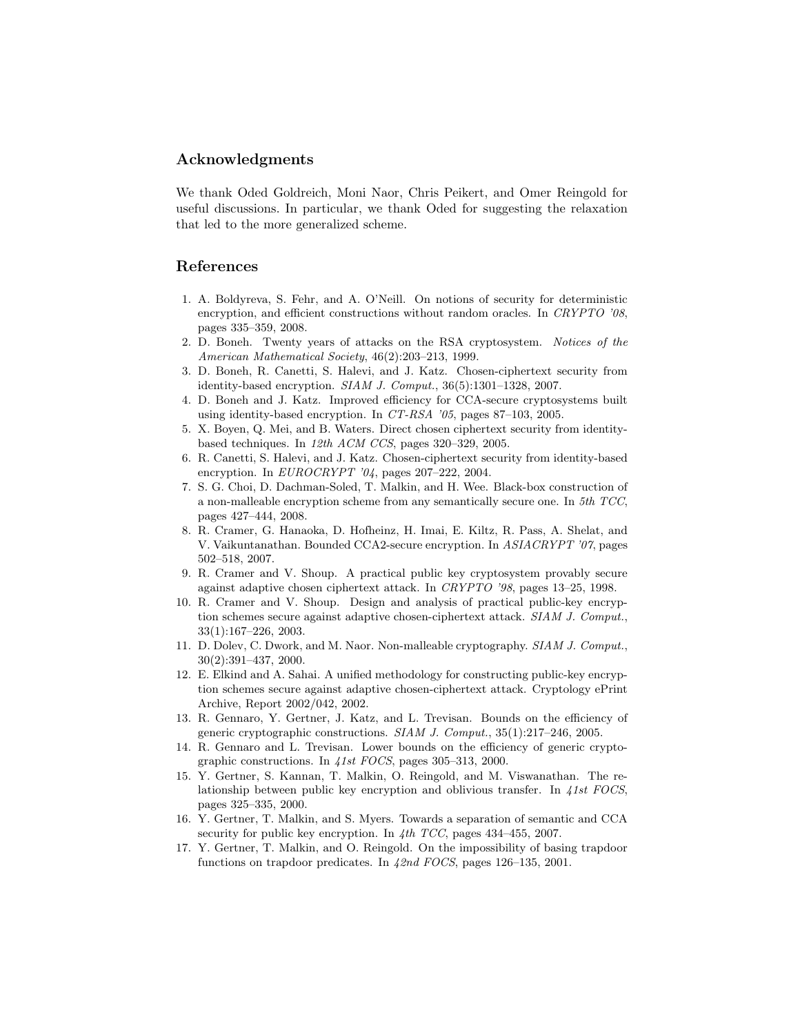## Acknowledgments

We thank Oded Goldreich, Moni Naor, Chris Peikert, and Omer Reingold for useful discussions. In particular, we thank Oded for suggesting the relaxation that led to the more generalized scheme.

# References

- 1. A. Boldyreva, S. Fehr, and A. O'Neill. On notions of security for deterministic encryption, and efficient constructions without random oracles. In CRYPTO '08, pages 335–359, 2008.
- 2. D. Boneh. Twenty years of attacks on the RSA cryptosystem. Notices of the American Mathematical Society, 46(2):203–213, 1999.
- 3. D. Boneh, R. Canetti, S. Halevi, and J. Katz. Chosen-ciphertext security from identity-based encryption. SIAM J. Comput., 36(5):1301–1328, 2007.
- 4. D. Boneh and J. Katz. Improved efficiency for CCA-secure cryptosystems built using identity-based encryption. In CT-RSA '05, pages 87–103, 2005.
- 5. X. Boyen, Q. Mei, and B. Waters. Direct chosen ciphertext security from identitybased techniques. In 12th ACM CCS, pages 320–329, 2005.
- 6. R. Canetti, S. Halevi, and J. Katz. Chosen-ciphertext security from identity-based encryption. In  $EUROCRYPT'04$ , pages 207–222, 2004.
- 7. S. G. Choi, D. Dachman-Soled, T. Malkin, and H. Wee. Black-box construction of a non-malleable encryption scheme from any semantically secure one. In 5th TCC, pages 427–444, 2008.
- 8. R. Cramer, G. Hanaoka, D. Hofheinz, H. Imai, E. Kiltz, R. Pass, A. Shelat, and V. Vaikuntanathan. Bounded CCA2-secure encryption. In ASIACRYPT '07, pages 502–518, 2007.
- 9. R. Cramer and V. Shoup. A practical public key cryptosystem provably secure against adaptive chosen ciphertext attack. In CRYPTO '98, pages 13–25, 1998.
- 10. R. Cramer and V. Shoup. Design and analysis of practical public-key encryption schemes secure against adaptive chosen-ciphertext attack. SIAM J. Comput., 33(1):167–226, 2003.
- 11. D. Dolev, C. Dwork, and M. Naor. Non-malleable cryptography. SIAM J. Comput., 30(2):391–437, 2000.
- 12. E. Elkind and A. Sahai. A unified methodology for constructing public-key encryption schemes secure against adaptive chosen-ciphertext attack. Cryptology ePrint Archive, Report 2002/042, 2002.
- 13. R. Gennaro, Y. Gertner, J. Katz, and L. Trevisan. Bounds on the efficiency of generic cryptographic constructions. SIAM J. Comput., 35(1):217–246, 2005.
- 14. R. Gennaro and L. Trevisan. Lower bounds on the efficiency of generic cryptographic constructions. In 41st FOCS, pages 305–313, 2000.
- 15. Y. Gertner, S. Kannan, T. Malkin, O. Reingold, and M. Viswanathan. The relationship between public key encryption and oblivious transfer. In 41st FOCS, pages 325–335, 2000.
- 16. Y. Gertner, T. Malkin, and S. Myers. Towards a separation of semantic and CCA security for public key encryption. In  $4th$  TCC, pages 434–455, 2007.
- 17. Y. Gertner, T. Malkin, and O. Reingold. On the impossibility of basing trapdoor functions on trapdoor predicates. In 42nd FOCS, pages 126–135, 2001.